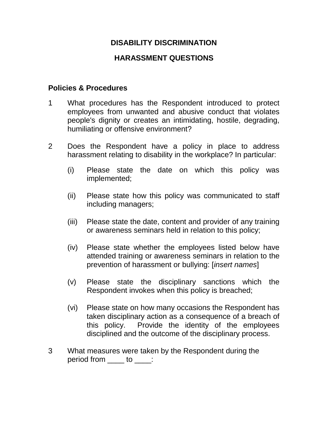# **DISABILITY DISCRIMINATION**

# **HARASSMENT QUESTIONS**

#### **Policies & Procedures**

- 1 What procedures has the Respondent introduced to protect employees from unwanted and abusive conduct that violates people's dignity or creates an intimidating, hostile, degrading, humiliating or offensive environment?
- 2 Does the Respondent have a policy in place to address harassment relating to disability in the workplace? In particular:
	- (i) Please state the date on which this policy was implemented;
	- (ii) Please state how this policy was communicated to staff including managers;
	- (iii) Please state the date, content and provider of any training or awareness seminars held in relation to this policy;
	- (iv) Please state whether the employees listed below have attended training or awareness seminars in relation to the prevention of harassment or bullying: [*insert names*]
	- (v) Please state the disciplinary sanctions which the Respondent invokes when this policy is breached;
	- (vi) Please state on how many occasions the Respondent has taken disciplinary action as a consequence of a breach of this policy. Provide the identity of the employees disciplined and the outcome of the disciplinary process.
- 3 What measures were taken by the Respondent during the period from <u>equal</u> to <u>equal</u>: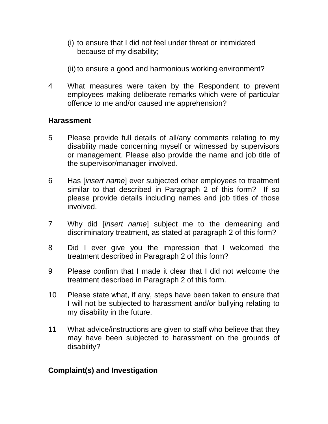- (i) to ensure that I did not feel under threat or intimidated because of my disability;
- (ii) to ensure a good and harmonious working environment?
- 4 What measures were taken by the Respondent to prevent employees making deliberate remarks which were of particular offence to me and/or caused me apprehension?

### **Harassment**

- 5 Please provide full details of all/any comments relating to my disability made concerning myself or witnessed by supervisors or management. Please also provide the name and job title of the supervisor/manager involved.
- 6 Has [*insert name*] ever subjected other employees to treatment similar to that described in Paragraph 2 of this form? If so please provide details including names and job titles of those involved.
- 7 Why did [*insert name*] subject me to the demeaning and discriminatory treatment, as stated at paragraph 2 of this form?
- 8 Did I ever give you the impression that I welcomed the treatment described in Paragraph 2 of this form?
- 9 Please confirm that I made it clear that I did not welcome the treatment described in Paragraph 2 of this form.
- 10 Please state what, if any, steps have been taken to ensure that I will not be subjected to harassment and/or bullying relating to my disability in the future.
- 11 What advice/instructions are given to staff who believe that they may have been subjected to harassment on the grounds of disability?

### **Complaint(s) and Investigation**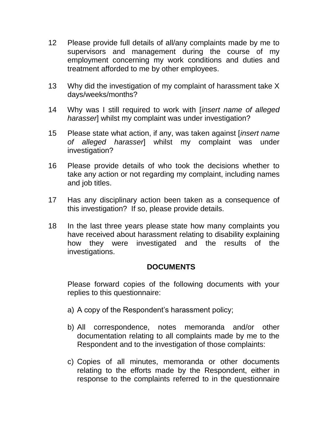- 12 Please provide full details of all/any complaints made by me to supervisors and management during the course of my employment concerning my work conditions and duties and treatment afforded to me by other employees.
- 13 Why did the investigation of my complaint of harassment take X days/weeks/months?
- 14 Why was I still required to work with [*insert name of alleged harasser*] whilst my complaint was under investigation?
- 15 Please state what action, if any, was taken against [*insert name of alleged harasser*] whilst my complaint was under investigation?
- 16 Please provide details of who took the decisions whether to take any action or not regarding my complaint, including names and job titles.
- 17 Has any disciplinary action been taken as a consequence of this investigation? If so, please provide details.
- 18 In the last three years please state how many complaints you have received about harassment relating to disability explaining how they were investigated and the results of the investigations.

### **DOCUMENTS**

Please forward copies of the following documents with your replies to this questionnaire:

- a) A copy of the Respondent's harassment policy;
- b) All correspondence, notes memoranda and/or other documentation relating to all complaints made by me to the Respondent and to the investigation of those complaints:
- c) Copies of all minutes, memoranda or other documents relating to the efforts made by the Respondent, either in response to the complaints referred to in the questionnaire